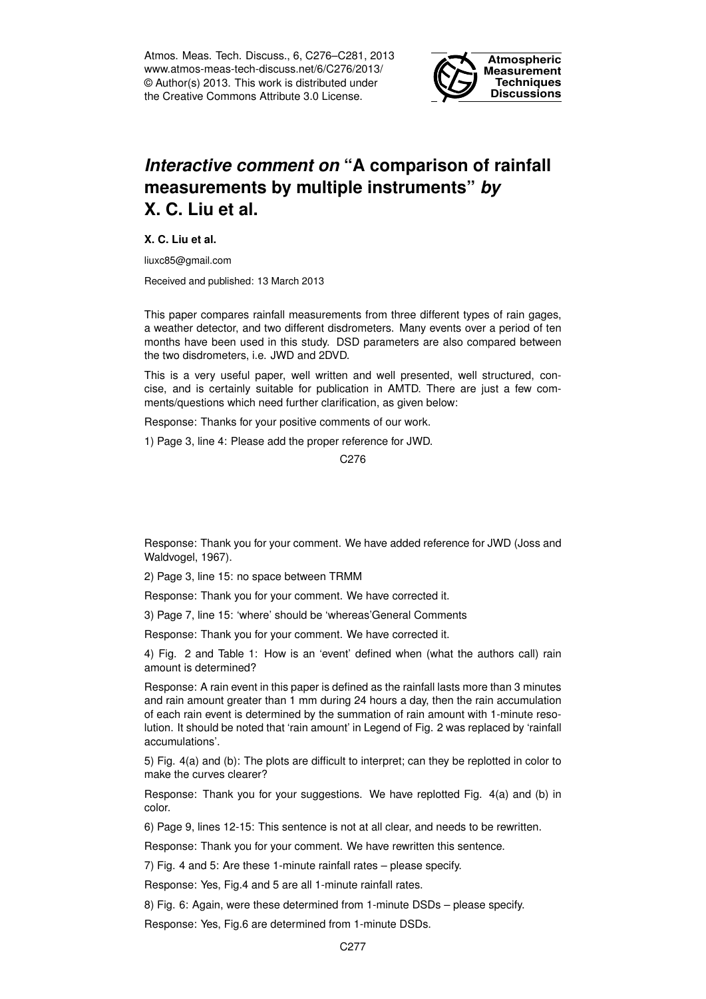Atmos. Meas. Tech. Discuss., 6, C276–C281, 2013 www.atmos-meas-tech-discuss.net/6/C276/2013/ © Author(s) 2013. This work is distributed under the Creative Commons Attribute 3.0 License.



## *Interactive comment on* **"A comparison of rainfall measurements by multiple instruments"** *by* **X. C. Liu et al.**

**X. C. Liu et al.**

liuxc85@gmail.com

Received and published: 13 March 2013

This paper compares rainfall measurements from three different types of rain gages, a weather detector, and two different disdrometers. Many events over a period of ten months have been used in this study. DSD parameters are also compared between the two disdrometers, i.e. JWD and 2DVD.

This is a very useful paper, well written and well presented, well structured, concise, and is certainly suitable for publication in AMTD. There are just a few comments/questions which need further clarification, as given below:

Response: Thanks for your positive comments of our work.

1) Page 3, line 4: Please add the proper reference for JWD.

C276

Response: Thank you for your comment. We have added reference for JWD (Joss and Waldvogel, 1967).

2) Page 3, line 15: no space between TRMM

Response: Thank you for your comment. We have corrected it.

3) Page 7, line 15: 'where' should be 'whereas'General Comments

Response: Thank you for your comment. We have corrected it.

4) Fig. 2 and Table 1: How is an 'event' defined when (what the authors call) rain amount is determined?

Response: A rain event in this paper is defined as the rainfall lasts more than 3 minutes and rain amount greater than 1 mm during 24 hours a day, then the rain accumulation of each rain event is determined by the summation of rain amount with 1-minute resolution. It should be noted that 'rain amount' in Legend of Fig. 2 was replaced by 'rainfall accumulations'.

5) Fig. 4(a) and (b): The plots are difficult to interpret; can they be replotted in color to make the curves clearer?

Response: Thank you for your suggestions. We have replotted Fig. 4(a) and (b) in color.

6) Page 9, lines 12-15: This sentence is not at all clear, and needs to be rewritten.

Response: Thank you for your comment. We have rewritten this sentence.

7) Fig. 4 and 5: Are these 1-minute rainfall rates – please specify.

Response: Yes, Fig.4 and 5 are all 1-minute rainfall rates.

8) Fig. 6: Again, were these determined from 1-minute DSDs – please specify.

Response: Yes, Fig.6 are determined from 1-minute DSDs.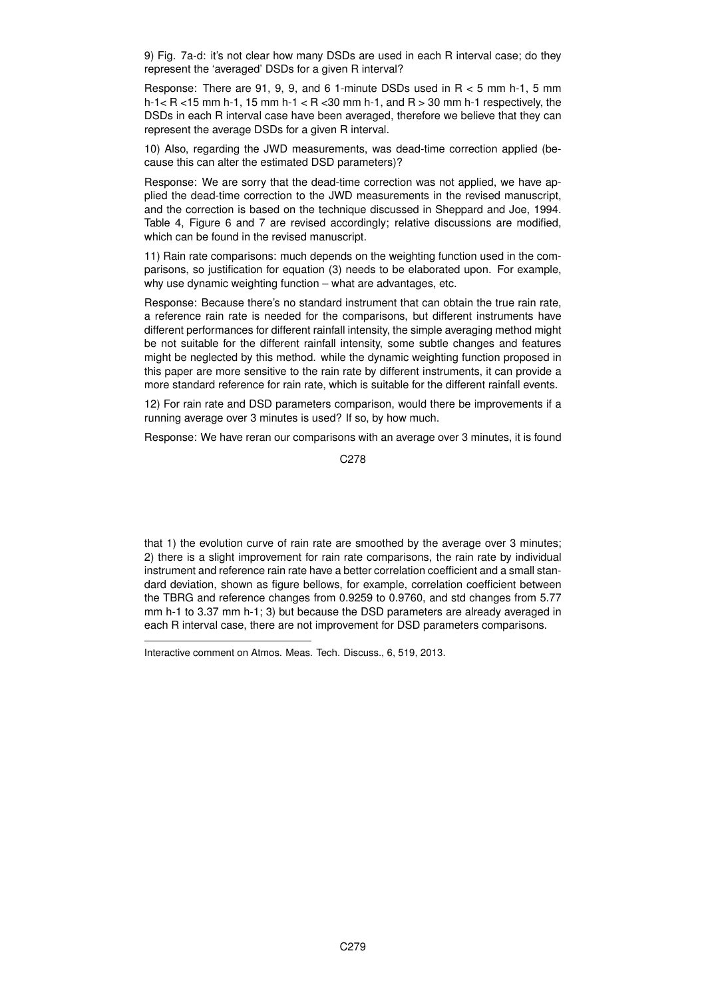9) Fig. 7a-d: it's not clear how many DSDs are used in each R interval case; do they represent the 'averaged' DSDs for a given R interval?

Response: There are 91, 9, 9, and 6 1-minute DSDs used in R < 5 mm h-1, 5 mm h-1  $<$  R  $<$  15 mm h-1, 15 mm h-1  $<$  R  $<$  30 mm h-1, and R  $>$  30 mm h-1 respectively, the DSDs in each R interval case have been averaged, therefore we believe that they can represent the average DSDs for a given R interval.

10) Also, regarding the JWD measurements, was dead-time correction applied (because this can alter the estimated DSD parameters)?

Response: We are sorry that the dead-time correction was not applied, we have applied the dead-time correction to the JWD measurements in the revised manuscript, and the correction is based on the technique discussed in Sheppard and Joe, 1994. Table 4, Figure 6 and 7 are revised accordingly; relative discussions are modified, which can be found in the revised manuscript.

11) Rain rate comparisons: much depends on the weighting function used in the comparisons, so justification for equation (3) needs to be elaborated upon. For example, why use dynamic weighting function – what are advantages, etc.

Response: Because there's no standard instrument that can obtain the true rain rate, a reference rain rate is needed for the comparisons, but different instruments have different performances for different rainfall intensity, the simple averaging method might be not suitable for the different rainfall intensity, some subtle changes and features might be neglected by this method. while the dynamic weighting function proposed in this paper are more sensitive to the rain rate by different instruments, it can provide a more standard reference for rain rate, which is suitable for the different rainfall events.

12) For rain rate and DSD parameters comparison, would there be improvements if a running average over 3 minutes is used? If so, by how much.

Response: We have reran our comparisons with an average over 3 minutes, it is found

C278

that 1) the evolution curve of rain rate are smoothed by the average over 3 minutes; 2) there is a slight improvement for rain rate comparisons, the rain rate by individual instrument and reference rain rate have a better correlation coefficient and a small standard deviation, shown as figure bellows, for example, correlation coefficient between the TBRG and reference changes from 0.9259 to 0.9760, and std changes from 5.77 mm h-1 to 3.37 mm h-1; 3) but because the DSD parameters are already averaged in each R interval case, there are not improvement for DSD parameters comparisons.

Interactive comment on Atmos. Meas. Tech. Discuss., 6, 519, 2013.